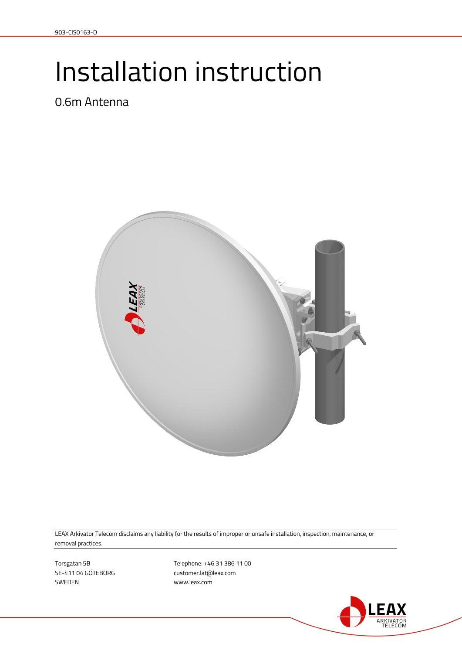# Installation instruction

0.6m Antenna



LEAX Arkivator Telecom disclaims any liability for the results of improper or unsafe installation, inspection, maintenance, or removal practices.

SWEDEN www.leax.com

Torsgatan 5B 11 00 SE-411 04 GÖTEBORG customer.lat@leax.com

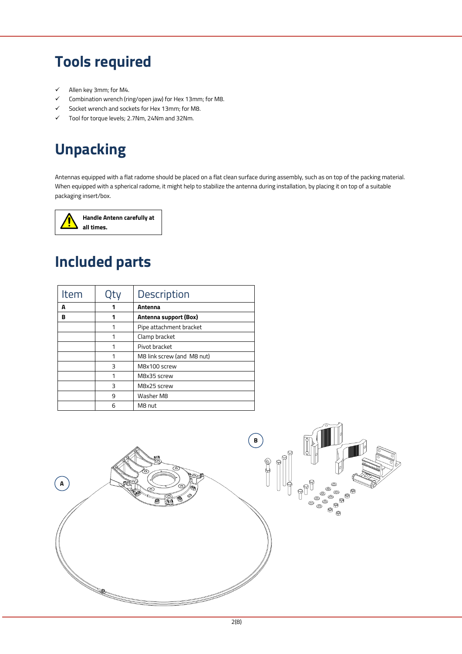## **Tools required**

- $\checkmark$  Allen key 3mm; for M4.
- $\checkmark$  Combination wrench (ring/open jaw) for Hex 13mm; for M8.
- Socket wrench and sockets for Hex 13mm; for M8.
- Tool for torque levels; 2.7Nm, 24Nm and 32Nm.

## **Unpacking**

Antennas equipped with a flat radome should be placed on a flat clean surface during assembly, such as on top of the packing material. When equipped with a spherical radome, it might help to stabilize the antenna during installation, by placing it on top of a suitable packaging insert/box.



## **Included parts**

| Item |   | <b>Description</b>         |
|------|---|----------------------------|
| A    |   | Antenna                    |
| в    |   | Antenna support (Box)      |
|      | 1 | Pipe attachment bracket    |
|      |   | Clamp bracket              |
|      |   | Pivot bracket              |
|      |   | M8 link screw (and M8 nut) |
|      | ξ | M8x100 screw               |
|      | 1 | M8x35 screw                |
|      | 3 | M8x25 screw                |
|      | 9 | Washer M8                  |
|      | 6 | M8 nut                     |

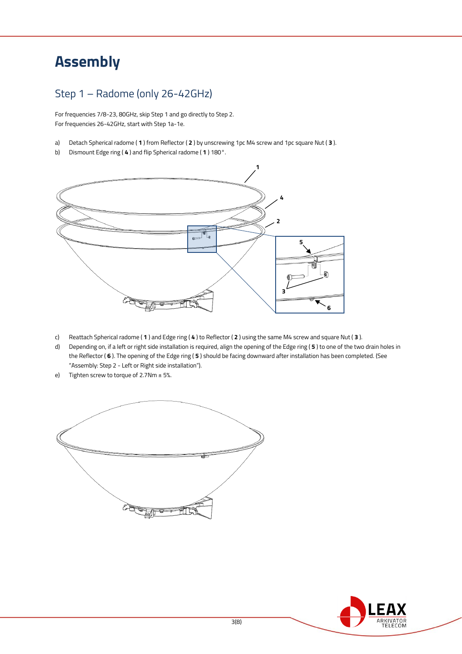## **Assembly**

#### Step 1 – Radome (only 26-42GHz)

For frequencies 7/8-23, 80GHz, skip Step 1 and go directly to Step 2. For frequencies 26-42GHz, start with Step 1a-1e.

- a) Detach Spherical radome ( **1** ) from Reflector ( **2** ) by unscrewing 1pc M4 screw and 1pc square Nut ( **3** ).
- b) Dismount Edge ring ( **4** ) and flip Spherical radome ( **1** ) 180°.



- c) Reattach Spherical radome ( **1** ) and Edge ring ( **4** ) to Reflector ( **2** ) using the same M4 screw and square Nut ( **3** ).
- d) Depending on, if a left or right side installation is required, align the opening of the Edge ring ( **5** ) to one of the two drain holes in the Reflector ( **6** ). The opening of the Edge ring ( **5** ) should be facing downward after installation has been completed. (See "Assembly: Step 2 - Left or Right side installation").
- e) Tighten screw to torque of  $2.7$ Nm  $\pm$  5%.



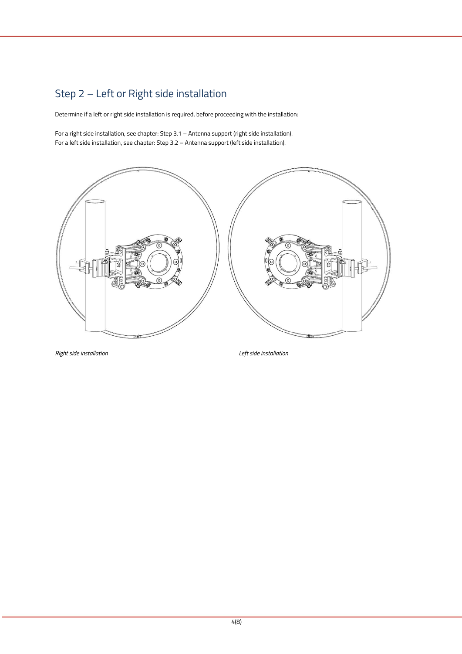### Step 2 – Left or Right side installation

Determine if a left or right side installation is required, before proceeding with the installation:

For a right side installation, see chapter: Step 3.1 – Antenna support (right side installation). For a left side installation, see chapter: Step 3.2 – Antenna support (left side installation).



*Right side installation Left side installation*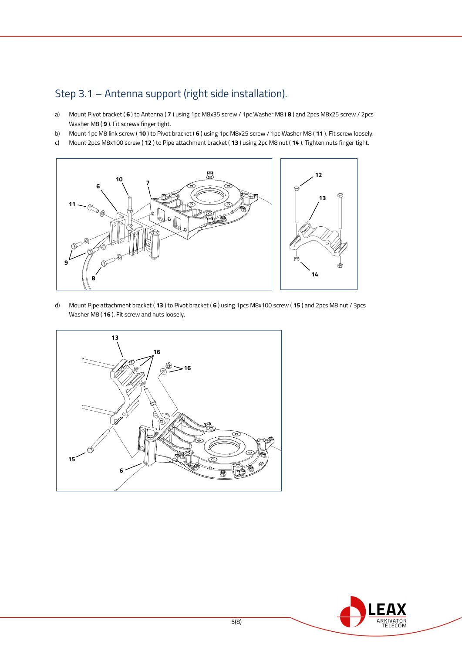#### Step 3.1 – Antenna support (right side installation).

- a) Mount Pivot bracket ( **6** ) to Antenna ( **7** ) using 1pc M8x35 screw / 1pc Washer M8 ( **8** ) and 2pcs M8x25 screw / 2pcs Washer M8 ( **9** ). Fit screws finger tight.
- b) Mount 1pc M8 link screw ( **10** ) to Pivot bracket ( **6** ) using 1pc M8x25 screw / 1pc Washer M8 ( **11** ). Fit screw loosely.
- c) Mount 2pcs M8x100 screw ( **12** ) to Pipe attachment bracket ( **13** ) using 2pc M8 nut ( **14** ). Tighten nuts finger tight.



d) Mount Pipe attachment bracket ( **13** ) to Pivot bracket ( **6** ) using 1pcs M8x100 screw ( **15** ) and 2pcs M8 nut / 3pcs Washer M8 ( **16** ). Fit screw and nuts loosely.



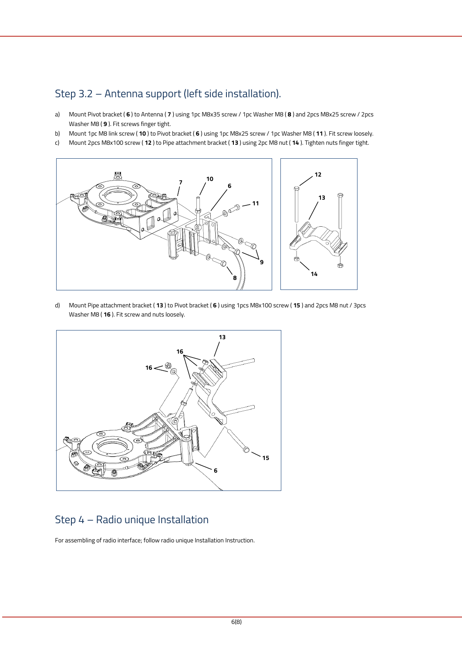#### Step 3.2 – Antenna support (left side installation).

- a) Mount Pivot bracket ( **6** ) to Antenna ( **7** ) using 1pc M8x35 screw / 1pc Washer M8 ( **8** ) and 2pcs M8x25 screw / 2pcs Washer M8 ( **9** ). Fit screws finger tight.
- b) Mount 1pc M8 link screw ( **10** ) to Pivot bracket ( **6** ) using 1pc M8x25 screw / 1pc Washer M8 ( **11** ). Fit screw loosely.
- c) Mount 2pcs M8x100 screw ( **12** ) to Pipe attachment bracket ( **13** ) using 2pc M8 nut ( **14** ). Tighten nuts finger tight.



d) Mount Pipe attachment bracket ( **13** ) to Pivot bracket ( **6** ) using 1pcs M8x100 screw ( **15** ) and 2pcs M8 nut / 3pcs Washer M8 ( **16** ). Fit screw and nuts loosely.



#### Step 4 – Radio unique Installation

For assembling of radio interface; follow radio unique Installation Instruction.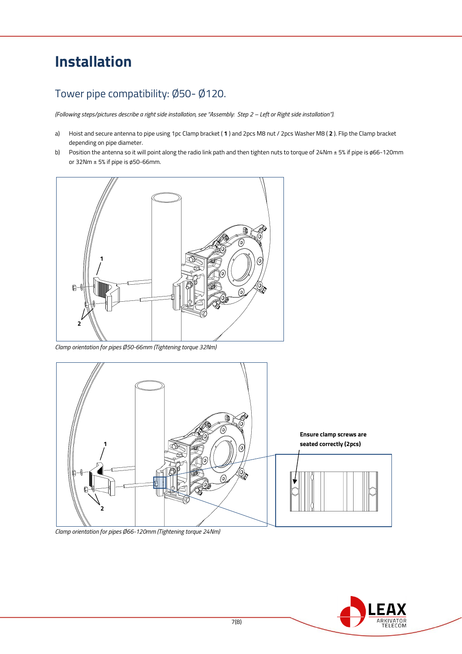## **Installation**

#### Tower pipe compatibility: Ø50- Ø120.

*(Following steps/pictures describe a right side installation, see "Assembly: Step 2 – Left or Right side installation").*

- a) Hoist and secure antenna to pipe using 1pc Clamp bracket ( **1** ) and 2pcs M8 nut / 2pcs Washer M8 ( **2** ). Flip the Clamp bracket depending on pipe diameter.
- b) Position the antenna so it will point along the radio link path and then tighten nuts to torque of 24Nm ± 5% if pipe is ø66-120mm or 32Nm  $\pm$  5% if pipe is ø50-66mm.



*Clamp orientation for pipes Ø50-66mm (Tightening torque 32Nm)*



*Clamp orientation for pipes Ø66-120mm (Tightening torque 24Nm)*